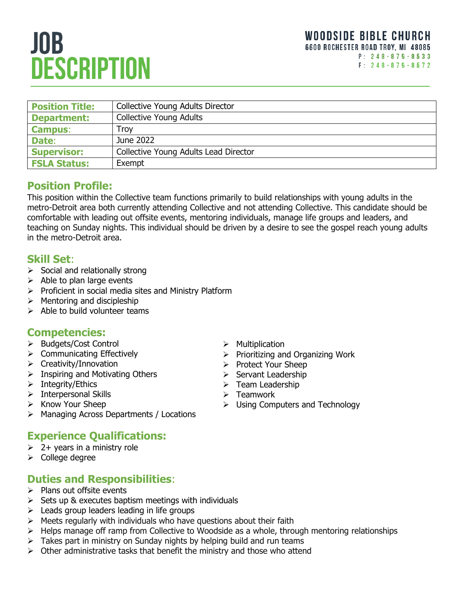# **JOB DESCRIPTION**

| <b>Position Title:</b> | <b>Collective Young Adults Director</b> |
|------------------------|-----------------------------------------|
| <b>Department:</b>     | <b>Collective Young Adults</b>          |
| <b>Campus:</b>         | Troy                                    |
| Date:                  | June 2022                               |
| <b>Supervisor:</b>     | Collective Young Adults Lead Director   |
| <b>FSLA Status:</b>    | Exempt                                  |

## **Position Profile:**

This position within the Collective team functions primarily to build relationships with young adults in the metro-Detroit area both currently attending Collective and not attending Collective. This candidate should be comfortable with leading out offsite events, mentoring individuals, manage life groups and leaders, and teaching on Sunday nights. This individual should be driven by a desire to see the gospel reach young adults in the metro-Detroit area.

#### **Skill Set**:

- $\triangleright$  Social and relationally strong
- $\triangleright$  Able to plan large events
- $\triangleright$  Proficient in social media sites and Ministry Platform
- $\triangleright$  Mentoring and discipleship
- $\triangleright$  Able to build volunteer teams

## **Competencies:**

- > Budgets/Cost Control
- $\triangleright$  Communicating Effectively
- $\triangleright$  Creativity/Innovation
- $\triangleright$  Inspiring and Motivating Others
- $\triangleright$  Integrity/Ethics
- $\triangleright$  Interpersonal Skills
- $\triangleright$  Know Your Sheep
- Managing Across Departments / Locations

## **Experience Qualifications:**

- $\geq 2+$  years in a ministry role
- $\triangleright$  College degree

## **Duties and Responsibilities**:

- $\triangleright$  Plans out offsite events
- $\triangleright$  Sets up & executes baptism meetings with individuals
- $\triangleright$  Leads group leaders leading in life groups
- $\triangleright$  Meets regularly with individuals who have questions about their faith
- $\triangleright$  Helps manage off ramp from Collective to Woodside as a whole, through mentoring relationships
- $\triangleright$  Takes part in ministry on Sunday nights by helping build and run teams
- $\triangleright$  Other administrative tasks that benefit the ministry and those who attend
- $\triangleright$  Multiplication
- $\triangleright$  Prioritizing and Organizing Work
- Protect Your Sheep
- $\triangleright$  Servant Leadership
- $\triangleright$  Team Leadership
- $\triangleright$  Teamwork
- $\triangleright$  Using Computers and Technology